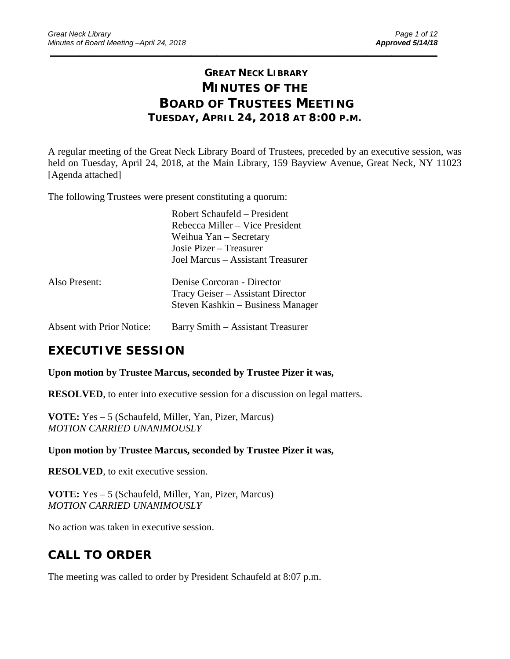# **GREAT NECK LIBRARY MINUTES OF THE BOARD OF TRUSTEES MEETING TUESDAY, APRIL 24, 2018 AT 8:00 P.M.**

\_\_\_\_\_\_\_\_\_\_\_\_\_\_\_\_\_\_\_\_\_\_\_\_\_\_\_\_\_\_\_\_\_\_\_\_\_\_\_\_\_\_\_\_\_\_\_\_\_\_\_\_\_\_\_\_\_\_\_\_\_\_\_\_\_\_\_\_\_\_\_\_\_\_\_\_\_\_\_\_\_\_\_\_\_\_\_\_\_\_\_\_\_

A regular meeting of the Great Neck Library Board of Trustees, preceded by an executive session, was held on Tuesday, April 24, 2018, at the Main Library, 159 Bayview Avenue, Great Neck, NY 11023 [Agenda attached]

The following Trustees were present constituting a quorum:

|                                  | Robert Schaufeld – President<br>Rebecca Miller – Vice President<br>Weihua Yan – Secretary<br>Josie Pizer – Treasurer<br>Joel Marcus – Assistant Treasurer |
|----------------------------------|-----------------------------------------------------------------------------------------------------------------------------------------------------------|
| Also Present:                    | Denise Corcoran - Director<br>Tracy Geiser – Assistant Director<br>Steven Kashkin – Business Manager                                                      |
| <b>Absent with Prior Notice:</b> | Barry Smith – Assistant Treasurer                                                                                                                         |

# **EXECUTIVE SESSION**

**Upon motion by Trustee Marcus, seconded by Trustee Pizer it was,**

**RESOLVED**, to enter into executive session for a discussion on legal matters.

**VOTE:** Yes – 5 (Schaufeld, Miller, Yan, Pizer, Marcus) *MOTION CARRIED UNANIMOUSLY*

**Upon motion by Trustee Marcus, seconded by Trustee Pizer it was,**

**RESOLVED**, to exit executive session.

**VOTE:** Yes – 5 (Schaufeld, Miller, Yan, Pizer, Marcus) *MOTION CARRIED UNANIMOUSLY*

No action was taken in executive session.

# **CALL TO ORDER**

The meeting was called to order by President Schaufeld at 8:07 p.m.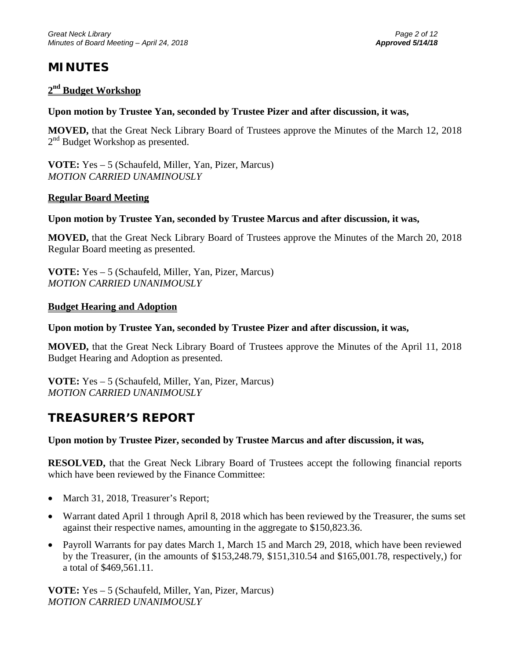# **MINUTES**

### **2nd Budget Workshop**

### **Upon motion by Trustee Yan, seconded by Trustee Pizer and after discussion, it was,**

**MOVED,** that the Great Neck Library Board of Trustees approve the Minutes of the March 12, 2018 2<sup>nd</sup> Budget Workshop as presented.

**VOTE:** Yes – 5 (Schaufeld, Miller, Yan, Pizer, Marcus) *MOTION CARRIED UNAMINOUSLY*

#### **Regular Board Meeting**

#### **Upon motion by Trustee Yan, seconded by Trustee Marcus and after discussion, it was,**

**MOVED,** that the Great Neck Library Board of Trustees approve the Minutes of the March 20, 2018 Regular Board meeting as presented.

**VOTE:** Yes – 5 (Schaufeld, Miller, Yan, Pizer, Marcus) *MOTION CARRIED UNANIMOUSLY*

#### **Budget Hearing and Adoption**

#### **Upon motion by Trustee Yan, seconded by Trustee Pizer and after discussion, it was,**

**MOVED,** that the Great Neck Library Board of Trustees approve the Minutes of the April 11, 2018 Budget Hearing and Adoption as presented.

**VOTE:** Yes – 5 (Schaufeld, Miller, Yan, Pizer, Marcus) *MOTION CARRIED UNANIMOUSLY*

# **TREASURER'S REPORT**

#### **Upon motion by Trustee Pizer, seconded by Trustee Marcus and after discussion, it was,**

**RESOLVED,** that the Great Neck Library Board of Trustees accept the following financial reports which have been reviewed by the Finance Committee:

- March 31, 2018, Treasurer's Report;
- Warrant dated April 1 through April 8, 2018 which has been reviewed by the Treasurer, the sums set against their respective names, amounting in the aggregate to \$150,823.36.
- Payroll Warrants for pay dates March 1, March 15 and March 29, 2018, which have been reviewed by the Treasurer, (in the amounts of \$153,248.79, \$151,310.54 and \$165,001.78, respectively,) for a total of \$469,561.11.

**VOTE:** Yes – 5 (Schaufeld, Miller, Yan, Pizer, Marcus) *MOTION CARRIED UNANIMOUSLY*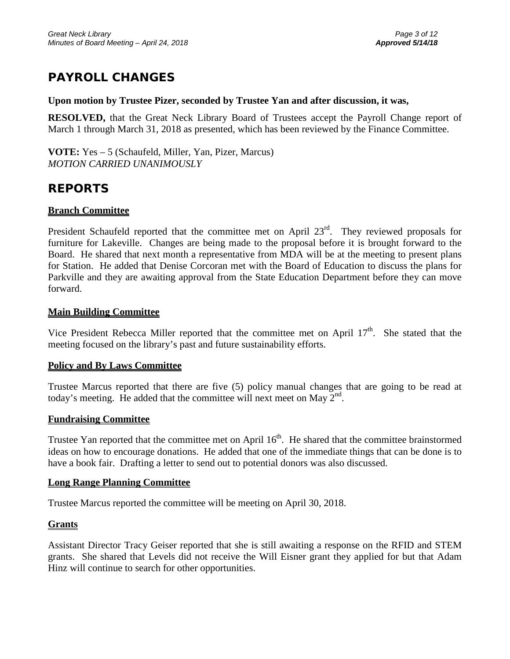# **PAYROLL CHANGES**

#### **Upon motion by Trustee Pizer, seconded by Trustee Yan and after discussion, it was,**

**RESOLVED,** that the Great Neck Library Board of Trustees accept the Payroll Change report of March 1 through March 31, 2018 as presented, which has been reviewed by the Finance Committee.

**VOTE:** Yes – 5 (Schaufeld, Miller, Yan, Pizer, Marcus) *MOTION CARRIED UNANIMOUSLY*

# **REPORTS**

## **Branch Committee**

President Schaufeld reported that the committee met on April 23<sup>rd</sup>. They reviewed proposals for furniture for Lakeville. Changes are being made to the proposal before it is brought forward to the Board. He shared that next month a representative from MDA will be at the meeting to present plans for Station. He added that Denise Corcoran met with the Board of Education to discuss the plans for Parkville and they are awaiting approval from the State Education Department before they can move forward.

### **Main Building Committee**

Vice President Rebecca Miller reported that the committee met on April  $17<sup>th</sup>$ . She stated that the meeting focused on the library's past and future sustainability efforts.

#### **Policy and By Laws Committee**

Trustee Marcus reported that there are five (5) policy manual changes that are going to be read at today's meeting. He added that the committee will next meet on May  $2<sup>nd</sup>$ .

#### **Fundraising Committee**

Trustee Yan reported that the committee met on April 16<sup>th</sup>. He shared that the committee brainstormed ideas on how to encourage donations. He added that one of the immediate things that can be done is to have a book fair. Drafting a letter to send out to potential donors was also discussed.

## **Long Range Planning Committee**

Trustee Marcus reported the committee will be meeting on April 30, 2018.

## **Grants**

Assistant Director Tracy Geiser reported that she is still awaiting a response on the RFID and STEM grants. She shared that Levels did not receive the Will Eisner grant they applied for but that Adam Hinz will continue to search for other opportunities.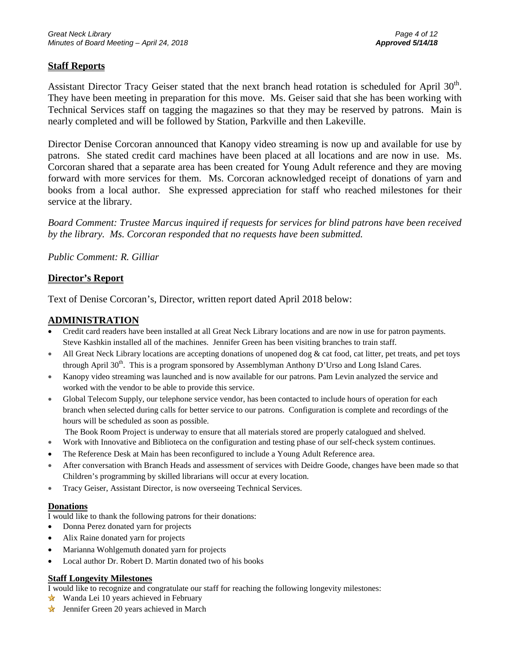## **Staff Reports**

Assistant Director Tracy Geiser stated that the next branch head rotation is scheduled for April 30<sup>th</sup>. They have been meeting in preparation for this move. Ms. Geiser said that she has been working with Technical Services staff on tagging the magazines so that they may be reserved by patrons. Main is nearly completed and will be followed by Station, Parkville and then Lakeville.

Director Denise Corcoran announced that Kanopy video streaming is now up and available for use by patrons. She stated credit card machines have been placed at all locations and are now in use. Ms. Corcoran shared that a separate area has been created for Young Adult reference and they are moving forward with more services for them. Ms. Corcoran acknowledged receipt of donations of yarn and books from a local author. She expressed appreciation for staff who reached milestones for their service at the library.

*Board Comment: Trustee Marcus inquired if requests for services for blind patrons have been received by the library. Ms. Corcoran responded that no requests have been submitted.*

*Public Comment: R. Gilliar* 

## **Director's Report**

Text of Denise Corcoran's, Director, written report dated April 2018 below:

### **ADMINISTRATION**

- Credit card readers have been installed at all Great Neck Library locations and are now in use for patron payments. Steve Kashkin installed all of the machines. Jennifer Green has been visiting branches to train staff.
- All Great Neck Library locations are accepting donations of unopened dog  $\&$  cat food, cat litter, pet treats, and pet toys through April  $30<sup>th</sup>$ . This is a program sponsored by Assemblyman Anthony D'Urso and Long Island Cares.
- Kanopy video streaming was launched and is now available for our patrons. Pam Levin analyzed the service and worked with the vendor to be able to provide this service.
- Global Telecom Supply, our telephone service vendor, has been contacted to include hours of operation for each branch when selected during calls for better service to our patrons. Configuration is complete and recordings of the hours will be scheduled as soon as possible.

The Book Room Project is underway to ensure that all materials stored are properly catalogued and shelved.

- Work with Innovative and Biblioteca on the configuration and testing phase of our self-check system continues.
- The Reference Desk at Main has been reconfigured to include a Young Adult Reference area.
- After conversation with Branch Heads and assessment of services with Deidre Goode, changes have been made so that Children's programming by skilled librarians will occur at every location.
- Tracy Geiser, Assistant Director, is now overseeing Technical Services.

#### **Donations**

I would like to thank the following patrons for their donations:

- Donna Perez donated yarn for projects
- Alix Raine donated yarn for projects
- Marianna Wohlgemuth donated yarn for projects
- Local author Dr. Robert D. Martin donated two of his books

#### **Staff Longevity Milestones**

I would like to recognize and congratulate our staff for reaching the following longevity milestones:

- ★ Wanda Lei 10 years achieved in February
- **V** Jennifer Green 20 years achieved in March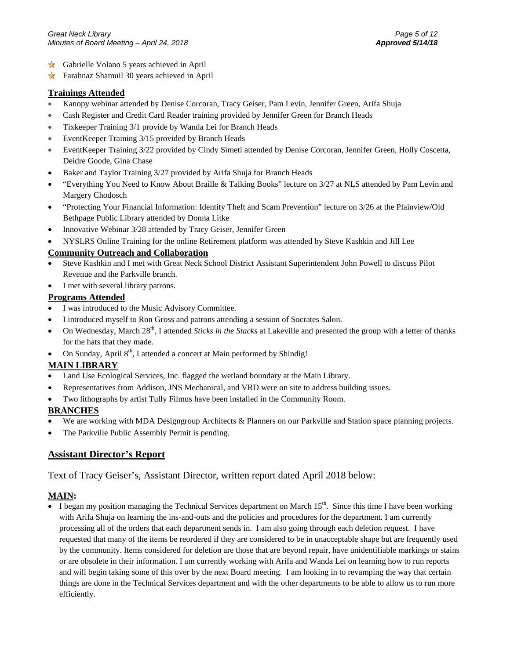- Gabrielle Volano 5 years achieved in April
- Farahnaz Shamuil 30 years achieved in April

#### **Trainings Attended**

- Kanopy webinar attended by Denise Corcoran, Tracy Geiser, Pam Levin, Jennifer Green, Arifa Shuja
- Cash Register and Credit Card Reader training provided by Jennifer Green for Branch Heads
- Tixkeeper Training 3/1 provide by Wanda Lei for Branch Heads
- EventKeeper Training 3/15 provided by Branch Heads
- EventKeeper Training 3/22 provided by Cindy Simeti attended by Denise Corcoran, Jennifer Green, Holly Coscetta, Deidre Goode, Gina Chase
- Baker and Taylor Training 3/27 provided by Arifa Shuja for Branch Heads
- "Everything You Need to Know About Braille & Talking Books" lecture on 3/27 at NLS attended by Pam Levin and Margery Chodosch
- "Protecting Your Financial Information: Identity Theft and Scam Prevention" lecture on 3/26 at the Plainview/Old Bethpage Public Library attended by Donna Litke
- Innovative Webinar 3/28 attended by Tracy Geiser, Jennifer Green
- NYSLRS Online Training for the online Retirement platform was attended by Steve Kashkin and Jill Lee

#### **Community Outreach and Collaboration**

- Steve Kashkin and I met with Great Neck School District Assistant Superintendent John Powell to discuss Pilot Revenue and the Parkville branch.
- I met with several library patrons.

#### **Programs Attended**

- I was introduced to the Music Advisory Committee.
- I introduced myself to Ron Gross and patrons attending a session of Socrates Salon.
- On Wednesday, March 28<sup>th</sup>, I attended *Sticks in the Stacks* at Lakeville and presented the group with a letter of thanks for the hats that they made.
- On Sunday, April  $8<sup>th</sup>$ , I attended a concert at Main performed by Shindig!

#### **MAIN LIBRARY**

- Land Use Ecological Services, Inc. flagged the wetland boundary at the Main Library.
- Representatives from Addison, JNS Mechanical, and VRD were on site to address building issues.
- Two lithographs by artist Tully Filmus have been installed in the Community Room.

#### **BRANCHES**

- We are working with MDA Designgroup Architects & Planners on our Parkville and Station space planning projects.
- The Parkville Public Assembly Permit is pending.

#### **Assistant Director's Report**

#### Text of Tracy Geiser's, Assistant Director, written report dated April 2018 below:

#### **MAIN:**

I began my position managing the Technical Services department on March  $15<sup>th</sup>$ . Since this time I have been working with Arifa Shuja on learning the ins-and-outs and the policies and procedures for the department. I am currently processing all of the orders that each department sends in. I am also going through each deletion request. I have requested that many of the items be reordered if they are considered to be in unacceptable shape but are frequently used by the community. Items considered for deletion are those that are beyond repair, have unidentifiable markings or stains or are obsolete in their information. I am currently working with Arifa and Wanda Lei on learning how to run reports and will begin taking some of this over by the next Board meeting. I am looking in to revamping the way that certain things are done in the Technical Services department and with the other departments to be able to allow us to run more efficiently.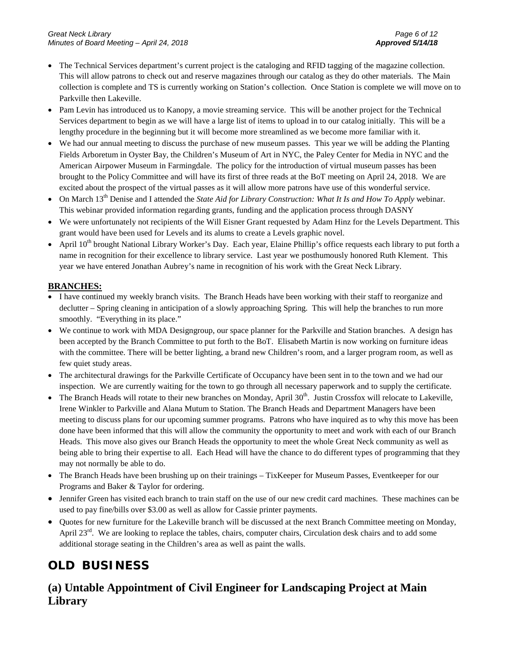- The Technical Services department's current project is the cataloging and RFID tagging of the magazine collection. This will allow patrons to check out and reserve magazines through our catalog as they do other materials. The Main collection is complete and TS is currently working on Station's collection. Once Station is complete we will move on to Parkville then Lakeville.
- Pam Levin has introduced us to Kanopy, a movie streaming service. This will be another project for the Technical Services department to begin as we will have a large list of items to upload in to our catalog initially. This will be a lengthy procedure in the beginning but it will become more streamlined as we become more familiar with it.
- We had our annual meeting to discuss the purchase of new museum passes. This year we will be adding the Planting Fields Arboretum in Oyster Bay, the Children's Museum of Art in NYC, the Paley Center for Media in NYC and the American Airpower Museum in Farmingdale. The policy for the introduction of virtual museum passes has been brought to the Policy Committee and will have its first of three reads at the BoT meeting on April 24, 2018. We are excited about the prospect of the virtual passes as it will allow more patrons have use of this wonderful service.
- On March 13<sup>th</sup> Denise and I attended the *State Aid for Library Construction: What It Is and How To Apply* webinar. This webinar provided information regarding grants, funding and the application process through DASNY
- We were unfortunately not recipients of the Will Eisner Grant requested by Adam Hinz for the Levels Department. This grant would have been used for Levels and its alums to create a Levels graphic novel.
- April  $10^{th}$  brought National Library Worker's Day. Each year, Elaine Phillip's office requests each library to put forth a name in recognition for their excellence to library service. Last year we posthumously honored Ruth Klement. This year we have entered Jonathan Aubrey's name in recognition of his work with the Great Neck Library.

#### **BRANCHES:**

- I have continued my weekly branch visits. The Branch Heads have been working with their staff to reorganize and declutter – Spring cleaning in anticipation of a slowly approaching Spring. This will help the branches to run more smoothly. "Everything in its place."
- We continue to work with MDA Designgroup, our space planner for the Parkville and Station branches. A design has been accepted by the Branch Committee to put forth to the BoT. Elisabeth Martin is now working on furniture ideas with the committee. There will be better lighting, a brand new Children's room, and a larger program room, as well as few quiet study areas.
- The architectural drawings for the Parkville Certificate of Occupancy have been sent in to the town and we had our inspection. We are currently waiting for the town to go through all necessary paperwork and to supply the certificate.
- The Branch Heads will rotate to their new branches on Monday, April  $30<sup>th</sup>$ . Justin Crossfox will relocate to Lakeville, Irene Winkler to Parkville and Alana Mutum to Station. The Branch Heads and Department Managers have been meeting to discuss plans for our upcoming summer programs. Patrons who have inquired as to why this move has been done have been informed that this will allow the community the opportunity to meet and work with each of our Branch Heads. This move also gives our Branch Heads the opportunity to meet the whole Great Neck community as well as being able to bring their expertise to all. Each Head will have the chance to do different types of programming that they may not normally be able to do.
- The Branch Heads have been brushing up on their trainings TixKeeper for Museum Passes, Eventkeeper for our Programs and Baker & Taylor for ordering.
- Jennifer Green has visited each branch to train staff on the use of our new credit card machines. These machines can be used to pay fine/bills over \$3.00 as well as allow for Cassie printer payments.
- Quotes for new furniture for the Lakeville branch will be discussed at the next Branch Committee meeting on Monday, April 23<sup>rd</sup>. We are looking to replace the tables, chairs, computer chairs, Circulation desk chairs and to add some additional storage seating in the Children's area as well as paint the walls.

# **OLD BUSINESS**

# **(a) Untable Appointment of Civil Engineer for Landscaping Project at Main Library**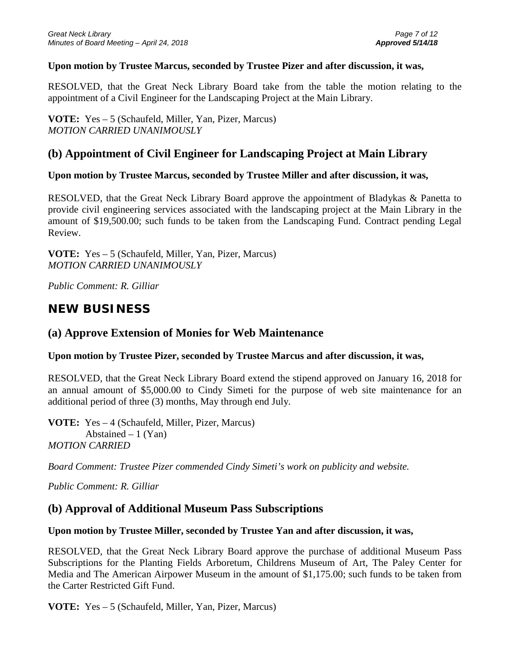#### **Upon motion by Trustee Marcus, seconded by Trustee Pizer and after discussion, it was,**

RESOLVED, that the Great Neck Library Board take from the table the motion relating to the appointment of a Civil Engineer for the Landscaping Project at the Main Library.

**VOTE:** Yes – 5 (Schaufeld, Miller, Yan, Pizer, Marcus) *MOTION CARRIED UNANIMOUSLY*

# **(b) Appointment of Civil Engineer for Landscaping Project at Main Library**

## **Upon motion by Trustee Marcus, seconded by Trustee Miller and after discussion, it was,**

RESOLVED, that the Great Neck Library Board approve the appointment of Bladykas & Panetta to provide civil engineering services associated with the landscaping project at the Main Library in the amount of \$19,500.00; such funds to be taken from the Landscaping Fund. Contract pending Legal Review.

**VOTE:** Yes – 5 (Schaufeld, Miller, Yan, Pizer, Marcus) *MOTION CARRIED UNANIMOUSLY*

*Public Comment: R. Gilliar*

# **NEW BUSINESS**

# **(a) Approve Extension of Monies for Web Maintenance**

#### **Upon motion by Trustee Pizer, seconded by Trustee Marcus and after discussion, it was,**

RESOLVED, that the Great Neck Library Board extend the stipend approved on January 16, 2018 for an annual amount of \$5,000.00 to Cindy Simeti for the purpose of web site maintenance for an additional period of three (3) months, May through end July.

**VOTE:** Yes – 4 (Schaufeld, Miller, Pizer, Marcus) Abstained  $-1$  (Yan) *MOTION CARRIED* 

*Board Comment: Trustee Pizer commended Cindy Simeti's work on publicity and website.*

*Public Comment: R. Gilliar*

# **(b) Approval of Additional Museum Pass Subscriptions**

## **Upon motion by Trustee Miller, seconded by Trustee Yan and after discussion, it was,**

RESOLVED, that the Great Neck Library Board approve the purchase of additional Museum Pass Subscriptions for the Planting Fields Arboretum, Childrens Museum of Art, The Paley Center for Media and The American Airpower Museum in the amount of \$1,175.00; such funds to be taken from the Carter Restricted Gift Fund.

**VOTE:** Yes – 5 (Schaufeld, Miller, Yan, Pizer, Marcus)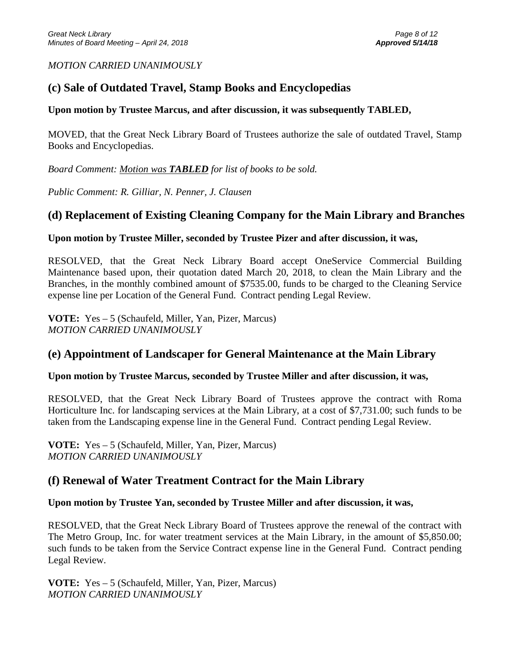### *MOTION CARRIED UNANIMOUSLY*

# **(c) Sale of Outdated Travel, Stamp Books and Encyclopedias**

## **Upon motion by Trustee Marcus, and after discussion, it was subsequently TABLED,**

MOVED, that the Great Neck Library Board of Trustees authorize the sale of outdated Travel, Stamp Books and Encyclopedias.

*Board Comment: Motion was TABLED for list of books to be sold.*

*Public Comment: R. Gilliar, N. Penner, J. Clausen*

# **(d) Replacement of Existing Cleaning Company for the Main Library and Branches**

## **Upon motion by Trustee Miller, seconded by Trustee Pizer and after discussion, it was,**

RESOLVED, that the Great Neck Library Board accept OneService Commercial Building Maintenance based upon, their quotation dated March 20, 2018, to clean the Main Library and the Branches, in the monthly combined amount of \$7535.00, funds to be charged to the Cleaning Service expense line per Location of the General Fund. Contract pending Legal Review.

**VOTE:** Yes – 5 (Schaufeld, Miller, Yan, Pizer, Marcus) *MOTION CARRIED UNANIMOUSLY*

# **(e) Appointment of Landscaper for General Maintenance at the Main Library**

## **Upon motion by Trustee Marcus, seconded by Trustee Miller and after discussion, it was,**

RESOLVED, that the Great Neck Library Board of Trustees approve the contract with Roma Horticulture Inc. for landscaping services at the Main Library, at a cost of \$7,731.00; such funds to be taken from the Landscaping expense line in the General Fund. Contract pending Legal Review.

**VOTE:** Yes – 5 (Schaufeld, Miller, Yan, Pizer, Marcus) *MOTION CARRIED UNANIMOUSLY*

# **(f) Renewal of Water Treatment Contract for the Main Library**

## **Upon motion by Trustee Yan, seconded by Trustee Miller and after discussion, it was,**

RESOLVED, that the Great Neck Library Board of Trustees approve the renewal of the contract with The Metro Group, Inc. for water treatment services at the Main Library, in the amount of \$5,850.00; such funds to be taken from the Service Contract expense line in the General Fund. Contract pending Legal Review.

**VOTE:** Yes – 5 (Schaufeld, Miller, Yan, Pizer, Marcus) *MOTION CARRIED UNANIMOUSLY*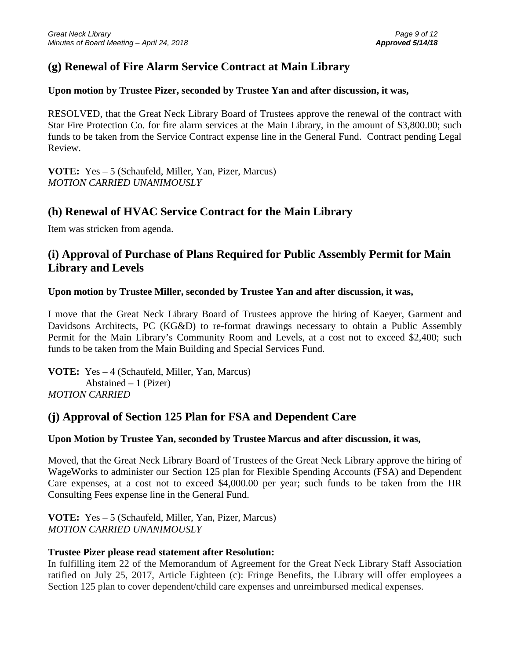# **(g) Renewal of Fire Alarm Service Contract at Main Library**

# **Upon motion by Trustee Pizer, seconded by Trustee Yan and after discussion, it was,**

RESOLVED, that the Great Neck Library Board of Trustees approve the renewal of the contract with Star Fire Protection Co. for fire alarm services at the Main Library, in the amount of \$3,800.00; such funds to be taken from the Service Contract expense line in the General Fund. Contract pending Legal Review.

**VOTE:** Yes – 5 (Schaufeld, Miller, Yan, Pizer, Marcus) *MOTION CARRIED UNANIMOUSLY*

# **(h) Renewal of HVAC Service Contract for the Main Library**

Item was stricken from agenda.

# **(i) Approval of Purchase of Plans Required for Public Assembly Permit for Main Library and Levels**

# **Upon motion by Trustee Miller, seconded by Trustee Yan and after discussion, it was,**

I move that the Great Neck Library Board of Trustees approve the hiring of Kaeyer, Garment and Davidsons Architects, PC (KG&D) to re-format drawings necessary to obtain a Public Assembly Permit for the Main Library's Community Room and Levels, at a cost not to exceed \$2,400; such funds to be taken from the Main Building and Special Services Fund.

**VOTE:** Yes – 4 (Schaufeld, Miller, Yan, Marcus) Abstained – 1 (Pizer) *MOTION CARRIED*

# **(j) Approval of Section 125 Plan for FSA and Dependent Care**

# **Upon Motion by Trustee Yan, seconded by Trustee Marcus and after discussion, it was,**

Moved, that the Great Neck Library Board of Trustees of the Great Neck Library approve the hiring of WageWorks to administer our Section 125 plan for Flexible Spending Accounts (FSA) and Dependent Care expenses, at a cost not to exceed \$4,000.00 per year; such funds to be taken from the HR Consulting Fees expense line in the General Fund.

**VOTE:** Yes – 5 (Schaufeld, Miller, Yan, Pizer, Marcus) *MOTION CARRIED UNANIMOUSLY*

# **Trustee Pizer please read statement after Resolution:**

In fulfilling item 22 of the Memorandum of Agreement for the Great Neck Library Staff Association ratified on July 25, 2017, Article Eighteen (c): Fringe Benefits, the Library will offer employees a Section 125 plan to cover dependent/child care expenses and unreimbursed medical expenses.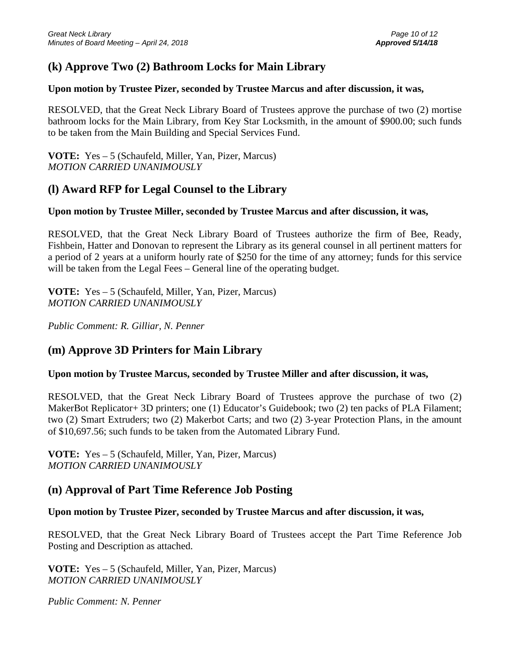# **(k) Approve Two (2) Bathroom Locks for Main Library**

### **Upon motion by Trustee Pizer, seconded by Trustee Marcus and after discussion, it was,**

RESOLVED, that the Great Neck Library Board of Trustees approve the purchase of two (2) mortise bathroom locks for the Main Library, from Key Star Locksmith, in the amount of \$900.00; such funds to be taken from the Main Building and Special Services Fund.

**VOTE:** Yes – 5 (Schaufeld, Miller, Yan, Pizer, Marcus) *MOTION CARRIED UNANIMOUSLY*

# **(l) Award RFP for Legal Counsel to the Library**

### **Upon motion by Trustee Miller, seconded by Trustee Marcus and after discussion, it was,**

RESOLVED, that the Great Neck Library Board of Trustees authorize the firm of Bee, Ready, Fishbein, Hatter and Donovan to represent the Library as its general counsel in all pertinent matters for a period of 2 years at a uniform hourly rate of \$250 for the time of any attorney; funds for this service will be taken from the Legal Fees – General line of the operating budget.

**VOTE:** Yes – 5 (Schaufeld, Miller, Yan, Pizer, Marcus) *MOTION CARRIED UNANIMOUSLY*

*Public Comment: R. Gilliar, N. Penner*

# **(m) Approve 3D Printers for Main Library**

#### **Upon motion by Trustee Marcus, seconded by Trustee Miller and after discussion, it was,**

RESOLVED, that the Great Neck Library Board of Trustees approve the purchase of two (2) MakerBot Replicator+ 3D printers; one (1) Educator's Guidebook; two (2) ten packs of PLA Filament; two (2) Smart Extruders; two (2) Makerbot Carts; and two (2) 3-year Protection Plans, in the amount of \$10,697.56; such funds to be taken from the Automated Library Fund.

**VOTE:** Yes – 5 (Schaufeld, Miller, Yan, Pizer, Marcus) *MOTION CARRIED UNANIMOUSLY*

# **(n) Approval of Part Time Reference Job Posting**

## **Upon motion by Trustee Pizer, seconded by Trustee Marcus and after discussion, it was,**

RESOLVED, that the Great Neck Library Board of Trustees accept the Part Time Reference Job Posting and Description as attached.

**VOTE:** Yes – 5 (Schaufeld, Miller, Yan, Pizer, Marcus) *MOTION CARRIED UNANIMOUSLY*

*Public Comment: N. Penner*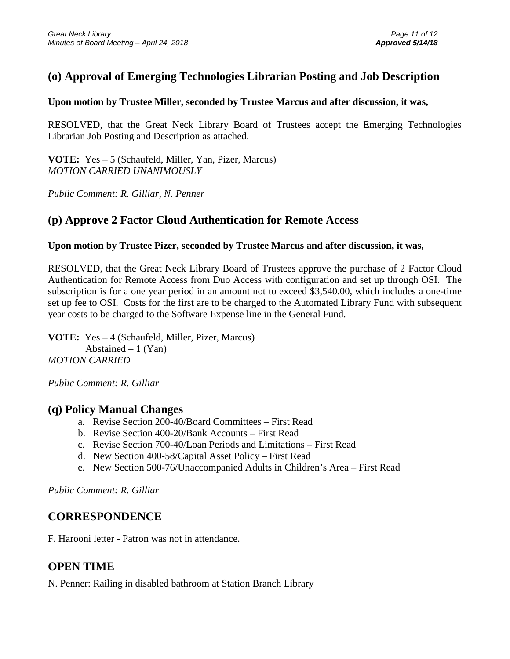# **(o) Approval of Emerging Technologies Librarian Posting and Job Description**

### **Upon motion by Trustee Miller, seconded by Trustee Marcus and after discussion, it was,**

RESOLVED, that the Great Neck Library Board of Trustees accept the Emerging Technologies Librarian Job Posting and Description as attached.

**VOTE:** Yes – 5 (Schaufeld, Miller, Yan, Pizer, Marcus) *MOTION CARRIED UNANIMOUSLY*

*Public Comment: R. Gilliar, N. Penner*

# **(p) Approve 2 Factor Cloud Authentication for Remote Access**

### **Upon motion by Trustee Pizer, seconded by Trustee Marcus and after discussion, it was,**

RESOLVED, that the Great Neck Library Board of Trustees approve the purchase of 2 Factor Cloud Authentication for Remote Access from Duo Access with configuration and set up through OSI. The subscription is for a one year period in an amount not to exceed \$3,540.00, which includes a one-time set up fee to OSI. Costs for the first are to be charged to the Automated Library Fund with subsequent year costs to be charged to the Software Expense line in the General Fund.

**VOTE:** Yes – 4 (Schaufeld, Miller, Pizer, Marcus) Abstained  $-1$  (Yan) *MOTION CARRIED*

*Public Comment: R. Gilliar*

## **(q) Policy Manual Changes**

- a. Revise Section 200-40/Board Committees First Read
- b. Revise Section 400-20/Bank Accounts First Read
- c. Revise Section 700-40/Loan Periods and Limitations First Read
- d. New Section 400-58/Capital Asset Policy First Read
- e. New Section 500-76/Unaccompanied Adults in Children's Area First Read

*Public Comment: R. Gilliar*

# **CORRESPONDENCE**

F. Harooni letter - Patron was not in attendance.

# **OPEN TIME**

N. Penner: Railing in disabled bathroom at Station Branch Library